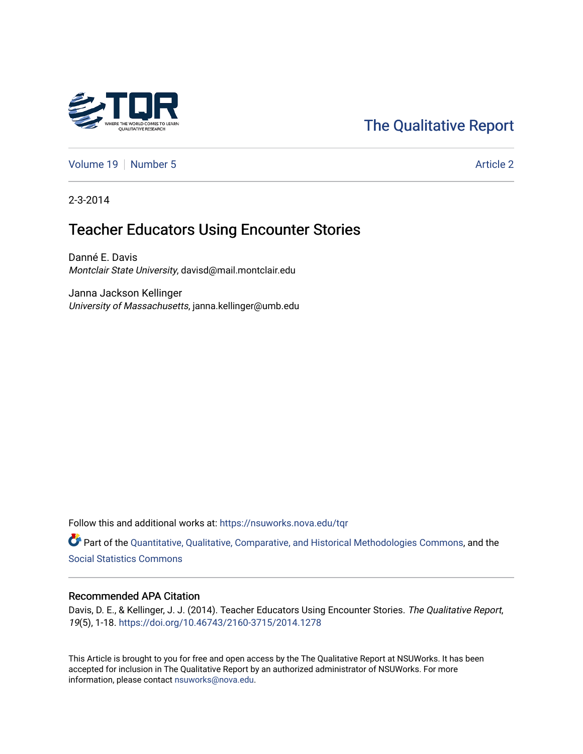# [The Qualitative Report](https://nsuworks.nova.edu/tqr)

[Volume 19](https://nsuworks.nova.edu/tqr/vol19) [Number 5](https://nsuworks.nova.edu/tqr/vol19/iss5) Article 2

2-3-2014

# Teacher Educators Using Encounter Stories

Danné E. Davis Montclair State University, davisd@mail.montclair.edu

Janna Jackson Kellinger University of Massachusetts, janna.kellinger@umb.edu

Follow this and additional works at: [https://nsuworks.nova.edu/tqr](https://nsuworks.nova.edu/tqr?utm_source=nsuworks.nova.edu%2Ftqr%2Fvol19%2Fiss5%2F2&utm_medium=PDF&utm_campaign=PDFCoverPages) 

Part of the [Quantitative, Qualitative, Comparative, and Historical Methodologies Commons,](http://network.bepress.com/hgg/discipline/423?utm_source=nsuworks.nova.edu%2Ftqr%2Fvol19%2Fiss5%2F2&utm_medium=PDF&utm_campaign=PDFCoverPages) and the [Social Statistics Commons](http://network.bepress.com/hgg/discipline/1275?utm_source=nsuworks.nova.edu%2Ftqr%2Fvol19%2Fiss5%2F2&utm_medium=PDF&utm_campaign=PDFCoverPages) 

#### Recommended APA Citation

Davis, D. E., & Kellinger, J. J. (2014). Teacher Educators Using Encounter Stories. The Qualitative Report, 19(5), 1-18. <https://doi.org/10.46743/2160-3715/2014.1278>

This Article is brought to you for free and open access by the The Qualitative Report at NSUWorks. It has been accepted for inclusion in The Qualitative Report by an authorized administrator of NSUWorks. For more information, please contact [nsuworks@nova.edu.](mailto:nsuworks@nova.edu)

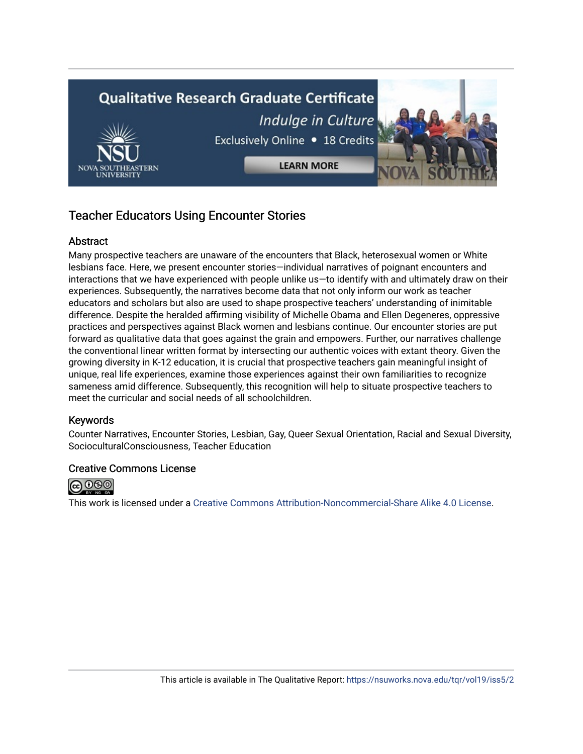# **Qualitative Research Graduate Certificate** Indulge in Culture Exclusively Online . 18 Credits **LEARN MORE**

# Teacher Educators Using Encounter Stories

## Abstract

Many prospective teachers are unaware of the encounters that Black, heterosexual women or White lesbians face. Here, we present encounter stories—individual narratives of poignant encounters and interactions that we have experienced with people unlike us—to identify with and ultimately draw on their experiences. Subsequently, the narratives become data that not only inform our work as teacher educators and scholars but also are used to shape prospective teachers' understanding of inimitable difference. Despite the heralded affirming visibility of Michelle Obama and Ellen Degeneres, oppressive practices and perspectives against Black women and lesbians continue. Our encounter stories are put forward as qualitative data that goes against the grain and empowers. Further, our narratives challenge the conventional linear written format by intersecting our authentic voices with extant theory. Given the growing diversity in K-12 education, it is crucial that prospective teachers gain meaningful insight of unique, real life experiences, examine those experiences against their own familiarities to recognize sameness amid difference. Subsequently, this recognition will help to situate prospective teachers to meet the curricular and social needs of all schoolchildren.

## Keywords

Counter Narratives, Encounter Stories, Lesbian, Gay, Queer Sexual Orientation, Racial and Sexual Diversity, SocioculturalConsciousness, Teacher Education

## Creative Commons License



This work is licensed under a [Creative Commons Attribution-Noncommercial-Share Alike 4.0 License](https://creativecommons.org/licenses/by-nc-sa/4.0/).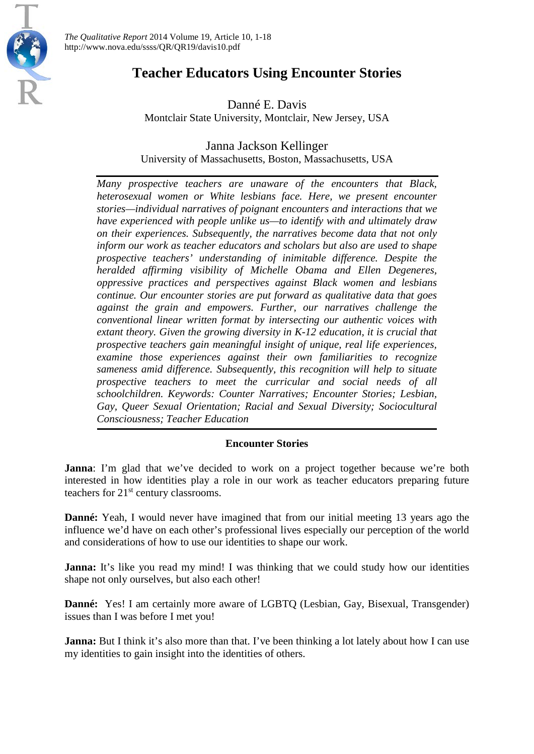

*The Qualitative Report* 2014 Volume 19, Article 10, 1-18 http://www.nova.edu/ssss/QR/QR19/davis10.pdf

# **Teacher Educators Using Encounter Stories**

Danné E. Davis Montclair State University, Montclair, New Jersey, USA

Janna Jackson Kellinger University of Massachusetts, Boston, Massachusetts, USA

*Many prospective teachers are unaware of the encounters that Black, heterosexual women or White lesbians face. Here, we present encounter stories—individual narratives of poignant encounters and interactions that we have experienced with people unlike us—to identify with and ultimately draw on their experiences. Subsequently, the narratives become data that not only inform our work as teacher educators and scholars but also are used to shape prospective teachers' understanding of inimitable difference. Despite the heralded affirming visibility of Michelle Obama and Ellen Degeneres, oppressive practices and perspectives against Black women and lesbians continue. Our encounter stories are put forward as qualitative data that goes against the grain and empowers. Further, our narratives challenge the conventional linear written format by intersecting our authentic voices with extant theory. Given the growing diversity in K-12 education, it is crucial that prospective teachers gain meaningful insight of unique, real life experiences, examine those experiences against their own familiarities to recognize sameness amid difference. Subsequently, this recognition will help to situate prospective teachers to meet the curricular and social needs of all schoolchildren. Keywords: Counter Narratives; Encounter Stories; Lesbian, Gay, Queer Sexual Orientation; Racial and Sexual Diversity; Sociocultural Consciousness; Teacher Education*

## **Encounter Stories**

**Janna**: I'm glad that we've decided to work on a project together because we're both interested in how identities play a role in our work as teacher educators preparing future teachers for  $21<sup>st</sup>$  century classrooms.

**Danné:** Yeah, I would never have imagined that from our initial meeting 13 years ago the influence we'd have on each other's professional lives especially our perception of the world and considerations of how to use our identities to shape our work.

**Janna:** It's like you read my mind! I was thinking that we could study how our identities shape not only ourselves, but also each other!

**Danné:** Yes! I am certainly more aware of LGBTQ (Lesbian, Gay, Bisexual, Transgender) issues than I was before I met you!

**Janna:** But I think it's also more than that. I've been thinking a lot lately about how I can use my identities to gain insight into the identities of others.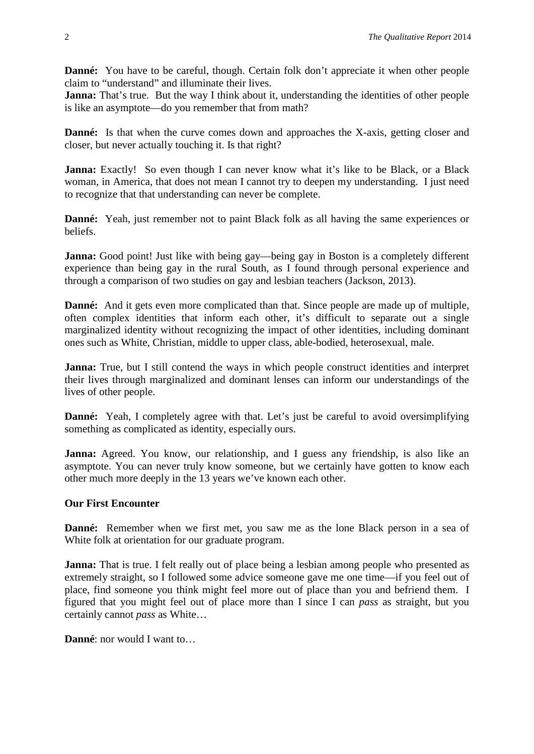**Danné:** You have to be careful, though. Certain folk don't appreciate it when other people claim to "understand" and illuminate their lives.

**Janna:** That's true. But the way I think about it, understanding the identities of other people is like an asymptote—do you remember that from math?

**Danné:** Is that when the curve comes down and approaches the X-axis, getting closer and closer, but never actually touching it. Is that right?

Janna: Exactly! So even though I can never know what it's like to be Black, or a Black woman, in America, that does not mean I cannot try to deepen my understanding. I just need to recognize that that understanding can never be complete.

**Danné:** Yeah, just remember not to paint Black folk as all having the same experiences or beliefs.

**Janna:** Good point! Just like with being gay—being gay in Boston is a completely different experience than being gay in the rural South, as I found through personal experience and through a comparison of two studies on gay and lesbian teachers (Jackson, 2013).

**Danné:** And it gets even more complicated than that. Since people are made up of multiple, often complex identities that inform each other, it's difficult to separate out a single marginalized identity without recognizing the impact of other identities, including dominant ones such as White, Christian, middle to upper class, able-bodied, heterosexual, male.

**Janna:** True, but I still contend the ways in which people construct identities and interpret their lives through marginalized and dominant lenses can inform our understandings of the lives of other people.

**Danné:** Yeah, I completely agree with that. Let's just be careful to avoid oversimplifying something as complicated as identity, especially ours.

**Janna:** Agreed. You know, our relationship, and I guess any friendship, is also like an asymptote. You can never truly know someone, but we certainly have gotten to know each other much more deeply in the 13 years we've known each other.

## **Our First Encounter**

**Danné:** Remember when we first met, you saw me as the lone Black person in a sea of White folk at orientation for our graduate program.

**Janna:** That is true. I felt really out of place being a lesbian among people who presented as extremely straight, so I followed some advice someone gave me one time—if you feel out of place, find someone you think might feel more out of place than you and befriend them. I figured that you might feel out of place more than I since I can *pass* as straight, but you certainly cannot *pass* as White…

**Danné**: nor would I want to…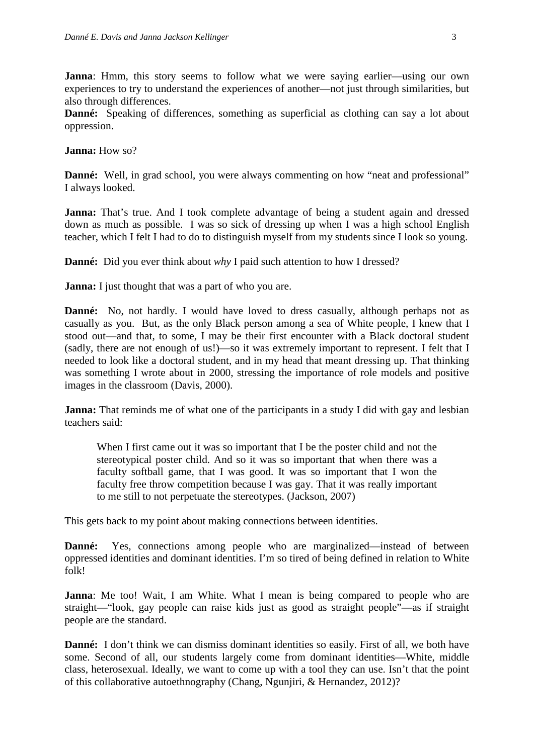**Janna**: Hmm, this story seems to follow what we were saying earlier—using our own experiences to try to understand the experiences of another—not just through similarities, but also through differences.

**Danné:** Speaking of differences, something as superficial as clothing can say a lot about oppression.

**Janna:** How so?

**Danné:** Well, in grad school, you were always commenting on how "neat and professional" I always looked.

**Janna:** That's true. And I took complete advantage of being a student again and dressed down as much as possible. I was so sick of dressing up when I was a high school English teacher, which I felt I had to do to distinguish myself from my students since I look so young.

**Danné:** Did you ever think about *why* I paid such attention to how I dressed?

**Janna:** I just thought that was a part of who you are.

**Danné:** No, not hardly. I would have loved to dress casually, although perhaps not as casually as you. But, as the only Black person among a sea of White people, I knew that I stood out—and that, to some, I may be their first encounter with a Black doctoral student (sadly, there are not enough of us!)—so it was extremely important to represent. I felt that I needed to look like a doctoral student, and in my head that meant dressing up. That thinking was something I wrote about in 2000, stressing the importance of role models and positive images in the classroom (Davis, 2000).

**Janna:** That reminds me of what one of the participants in a study I did with gay and lesbian teachers said:

When I first came out it was so important that I be the poster child and not the stereotypical poster child. And so it was so important that when there was a faculty softball game, that I was good. It was so important that I won the faculty free throw competition because I was gay. That it was really important to me still to not perpetuate the stereotypes. (Jackson, 2007)

This gets back to my point about making connections between identities.

**Danné:** Yes, connections among people who are marginalized—instead of between oppressed identities and dominant identities. I'm so tired of being defined in relation to White folk!

**Janna**: Me too! Wait, I am White. What I mean is being compared to people who are straight—"look, gay people can raise kids just as good as straight people"—as if straight people are the standard.

**Danné:** I don't think we can dismiss dominant identities so easily. First of all, we both have some. Second of all, our students largely come from dominant identities—White, middle class, heterosexual. Ideally, we want to come up with a tool they can use. Isn't that the point of this collaborative autoethnography (Chang, Ngunjiri, & Hernandez, 2012)?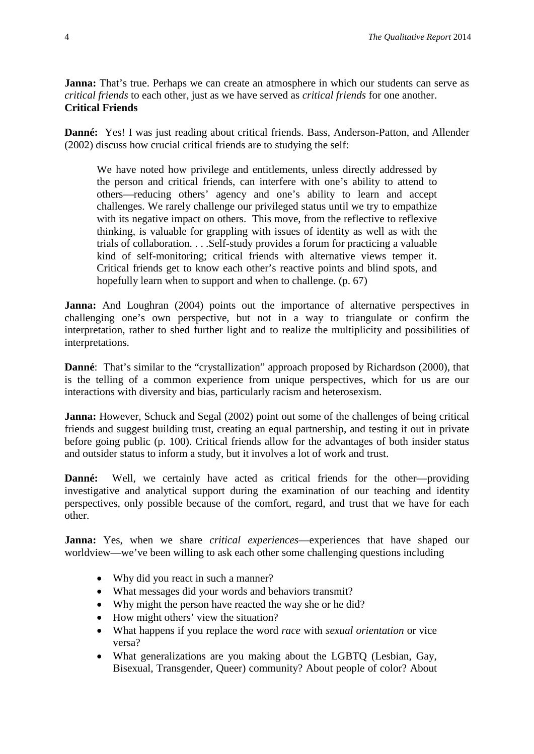**Janna:** That's true. Perhaps we can create an atmosphere in which our students can serve as *critical friends* to each other, just as we have served as *critical friends* for one another. **Critical Friends**

**Danné:** Yes! I was just reading about critical friends. Bass, Anderson-Patton, and Allender (2002) discuss how crucial critical friends are to studying the self:

We have noted how privilege and entitlements, unless directly addressed by the person and critical friends, can interfere with one's ability to attend to others—reducing others' agency and one's ability to learn and accept challenges. We rarely challenge our privileged status until we try to empathize with its negative impact on others. This move, from the reflective to reflexive thinking, is valuable for grappling with issues of identity as well as with the trials of collaboration. . . .Self-study provides a forum for practicing a valuable kind of self-monitoring; critical friends with alternative views temper it. Critical friends get to know each other's reactive points and blind spots, and hopefully learn when to support and when to challenge. (p. 67)

**Janna:** And Loughran (2004) points out the importance of alternative perspectives in challenging one's own perspective, but not in a way to triangulate or confirm the interpretation, rather to shed further light and to realize the multiplicity and possibilities of interpretations.

**Danné**: That's similar to the "crystallization" approach proposed by Richardson (2000), that is the telling of a common experience from unique perspectives, which for us are our interactions with diversity and bias, particularly racism and heterosexism.

**Janna:** However, Schuck and Segal (2002) point out some of the challenges of being critical friends and suggest building trust, creating an equal partnership, and testing it out in private before going public (p. 100). Critical friends allow for the advantages of both insider status and outsider status to inform a study, but it involves a lot of work and trust.

**Danné:** Well, we certainly have acted as critical friends for the other—providing investigative and analytical support during the examination of our teaching and identity perspectives, only possible because of the comfort, regard, and trust that we have for each other.

**Janna:** Yes, when we share *critical experiences*—experiences that have shaped our worldview—we've been willing to ask each other some challenging questions including

- Why did you react in such a manner?
- What messages did your words and behaviors transmit?
- Why might the person have reacted the way she or he did?
- How might others' view the situation?
- What happens if you replace the word *race* with *sexual orientation* or vice versa?
- What generalizations are you making about the LGBTQ (Lesbian, Gay, Bisexual, Transgender, Queer) community? About people of color? About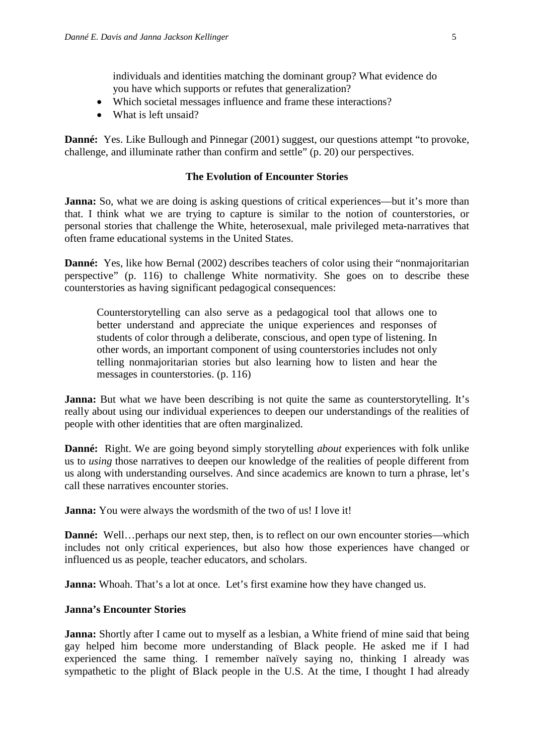individuals and identities matching the dominant group? What evidence do you have which supports or refutes that generalization?

- Which societal messages influence and frame these interactions?
- What is left unsaid?

**Danné:** Yes. Like Bullough and Pinnegar (2001) suggest, our questions attempt "to provoke, challenge, and illuminate rather than confirm and settle" (p. 20) our perspectives.

#### **The Evolution of Encounter Stories**

**Janna:** So, what we are doing is asking questions of critical experiences—but it's more than that. I think what we are trying to capture is similar to the notion of counterstories, or personal stories that challenge the White, heterosexual, male privileged meta-narratives that often frame educational systems in the United States.

**Danné:** Yes, like how Bernal (2002) describes teachers of color using their "nonmajoritarian" perspective" (p. 116) to challenge White normativity. She goes on to describe these counterstories as having significant pedagogical consequences:

Counterstorytelling can also serve as a pedagogical tool that allows one to better understand and appreciate the unique experiences and responses of students of color through a deliberate, conscious, and open type of listening. In other words, an important component of using counterstories includes not only telling nonmajoritarian stories but also learning how to listen and hear the messages in counterstories. (p. 116)

**Janna:** But what we have been describing is not quite the same as counterstorytelling. It's really about using our individual experiences to deepen our understandings of the realities of people with other identities that are often marginalized.

**Danné:** Right. We are going beyond simply storytelling *about* experiences with folk unlike us to *using* those narratives to deepen our knowledge of the realities of people different from us along with understanding ourselves. And since academics are known to turn a phrase, let's call these narratives encounter stories.

**Janna:** You were always the wordsmith of the two of us! I love it!

**Danné:** Well…perhaps our next step, then, is to reflect on our own encounter stories—which includes not only critical experiences, but also how those experiences have changed or influenced us as people, teacher educators, and scholars.

**Janna:** Whoah. That's a lot at once. Let's first examine how they have changed us.

#### **Janna's Encounter Stories**

**Janna:** Shortly after I came out to myself as a lesbian, a White friend of mine said that being gay helped him become more understanding of Black people. He asked me if I had experienced the same thing. I remember naïvely saying no, thinking I already was sympathetic to the plight of Black people in the U.S. At the time, I thought I had already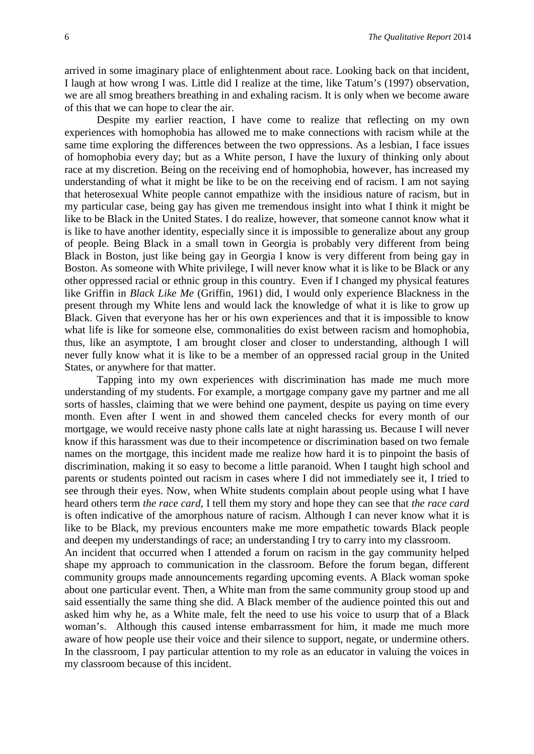arrived in some imaginary place of enlightenment about race. Looking back on that incident, I laugh at how wrong I was. Little did I realize at the time, like Tatum's (1997) observation, we are all smog breathers breathing in and exhaling racism. It is only when we become aware of this that we can hope to clear the air.

Despite my earlier reaction, I have come to realize that reflecting on my own experiences with homophobia has allowed me to make connections with racism while at the same time exploring the differences between the two oppressions. As a lesbian, I face issues of homophobia every day; but as a White person, I have the luxury of thinking only about race at my discretion. Being on the receiving end of homophobia, however, has increased my understanding of what it might be like to be on the receiving end of racism. I am not saying that heterosexual White people cannot empathize with the insidious nature of racism, but in my particular case, being gay has given me tremendous insight into what I think it might be like to be Black in the United States. I do realize, however, that someone cannot know what it is like to have another identity, especially since it is impossible to generalize about any group of people. Being Black in a small town in Georgia is probably very different from being Black in Boston, just like being gay in Georgia I know is very different from being gay in Boston. As someone with White privilege, I will never know what it is like to be Black or any other oppressed racial or ethnic group in this country. Even if I changed my physical features like Griffin in *Black Like Me* (Griffin, 1961) did, I would only experience Blackness in the present through my White lens and would lack the knowledge of what it is like to grow up Black. Given that everyone has her or his own experiences and that it is impossible to know what life is like for someone else, commonalities do exist between racism and homophobia, thus, like an asymptote, I am brought closer and closer to understanding, although I will never fully know what it is like to be a member of an oppressed racial group in the United States, or anywhere for that matter.

Tapping into my own experiences with discrimination has made me much more understanding of my students. For example, a mortgage company gave my partner and me all sorts of hassles, claiming that we were behind one payment, despite us paying on time every month. Even after I went in and showed them canceled checks for every month of our mortgage, we would receive nasty phone calls late at night harassing us. Because I will never know if this harassment was due to their incompetence or discrimination based on two female names on the mortgage, this incident made me realize how hard it is to pinpoint the basis of discrimination, making it so easy to become a little paranoid. When I taught high school and parents or students pointed out racism in cases where I did not immediately see it, I tried to see through their eyes. Now, when White students complain about people using what I have heard others term *the race card*, I tell them my story and hope they can see that *the race card* is often indicative of the amorphous nature of racism. Although I can never know what it is like to be Black, my previous encounters make me more empathetic towards Black people and deepen my understandings of race; an understanding I try to carry into my classroom.

An incident that occurred when I attended a forum on racism in the gay community helped shape my approach to communication in the classroom. Before the forum began, different community groups made announcements regarding upcoming events. A Black woman spoke about one particular event. Then, a White man from the same community group stood up and said essentially the same thing she did. A Black member of the audience pointed this out and asked him why he, as a White male, felt the need to use his voice to usurp that of a Black woman's. Although this caused intense embarrassment for him, it made me much more aware of how people use their voice and their silence to support, negate, or undermine others. In the classroom, I pay particular attention to my role as an educator in valuing the voices in my classroom because of this incident.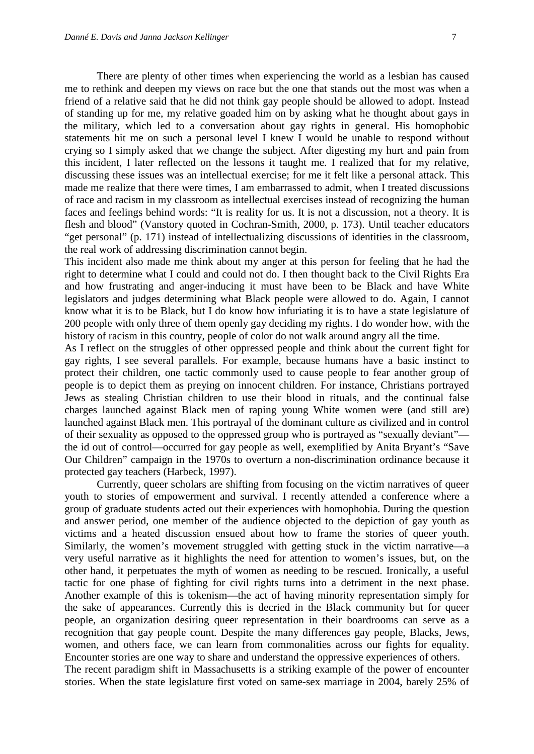There are plenty of other times when experiencing the world as a lesbian has caused me to rethink and deepen my views on race but the one that stands out the most was when a friend of a relative said that he did not think gay people should be allowed to adopt. Instead of standing up for me, my relative goaded him on by asking what he thought about gays in the military, which led to a conversation about gay rights in general. His homophobic statements hit me on such a personal level I knew I would be unable to respond without crying so I simply asked that we change the subject. After digesting my hurt and pain from this incident, I later reflected on the lessons it taught me. I realized that for my relative, discussing these issues was an intellectual exercise; for me it felt like a personal attack. This made me realize that there were times, I am embarrassed to admit, when I treated discussions of race and racism in my classroom as intellectual exercises instead of recognizing the human faces and feelings behind words: "It is reality for us. It is not a discussion, not a theory. It is flesh and blood" (Vanstory quoted in Cochran-Smith, 2000, p. 173). Until teacher educators "get personal" (p. 171) instead of intellectualizing discussions of identities in the classroom, the real work of addressing discrimination cannot begin.

This incident also made me think about my anger at this person for feeling that he had the right to determine what I could and could not do. I then thought back to the Civil Rights Era and how frustrating and anger-inducing it must have been to be Black and have White legislators and judges determining what Black people were allowed to do. Again, I cannot know what it is to be Black, but I do know how infuriating it is to have a state legislature of 200 people with only three of them openly gay deciding my rights. I do wonder how, with the history of racism in this country, people of color do not walk around angry all the time.

As I reflect on the struggles of other oppressed people and think about the current fight for gay rights, I see several parallels. For example, because humans have a basic instinct to protect their children, one tactic commonly used to cause people to fear another group of people is to depict them as preying on innocent children. For instance, Christians portrayed Jews as stealing Christian children to use their blood in rituals, and the continual false charges launched against Black men of raping young White women were (and still are) launched against Black men. This portrayal of the dominant culture as civilized and in control of their sexuality as opposed to the oppressed group who is portrayed as "sexually deviant" the id out of control—occurred for gay people as well, exemplified by Anita Bryant's "Save Our Children" campaign in the 1970s to overturn a non-discrimination ordinance because it protected gay teachers (Harbeck, 1997).

Currently, queer scholars are shifting from focusing on the victim narratives of queer youth to stories of empowerment and survival. I recently attended a conference where a group of graduate students acted out their experiences with homophobia. During the question and answer period, one member of the audience objected to the depiction of gay youth as victims and a heated discussion ensued about how to frame the stories of queer youth. Similarly, the women's movement struggled with getting stuck in the victim narrative—a very useful narrative as it highlights the need for attention to women's issues, but, on the other hand, it perpetuates the myth of women as needing to be rescued. Ironically, a useful tactic for one phase of fighting for civil rights turns into a detriment in the next phase. Another example of this is tokenism—the act of having minority representation simply for the sake of appearances. Currently this is decried in the Black community but for queer people, an organization desiring queer representation in their boardrooms can serve as a recognition that gay people count. Despite the many differences gay people, Blacks, Jews, women, and others face, we can learn from commonalities across our fights for equality. Encounter stories are one way to share and understand the oppressive experiences of others. The recent paradigm shift in Massachusetts is a striking example of the power of encounter stories. When the state legislature first voted on same-sex marriage in 2004, barely 25% of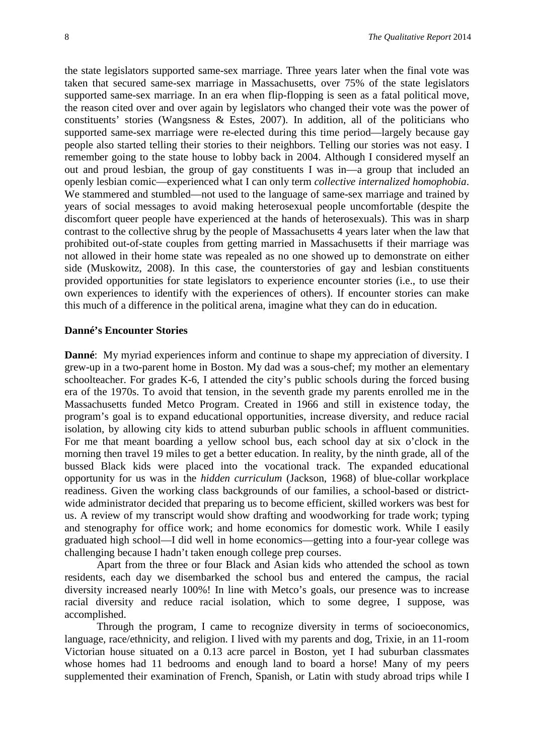the state legislators supported same-sex marriage. Three years later when the final vote was taken that secured same-sex marriage in Massachusetts, over 75% of the state legislators supported same-sex marriage. In an era when flip-flopping is seen as a fatal political move, the reason cited over and over again by legislators who changed their vote was the power of constituents' stories (Wangsness & Estes, 2007). In addition, all of the politicians who supported same-sex marriage were re-elected during this time period—largely because gay people also started telling their stories to their neighbors. Telling our stories was not easy. I remember going to the state house to lobby back in 2004. Although I considered myself an out and proud lesbian, the group of gay constituents I was in—a group that included an openly lesbian comic—experienced what I can only term *collective internalized homophobia*. We stammered and stumbled—not used to the language of same-sex marriage and trained by years of social messages to avoid making heterosexual people uncomfortable (despite the discomfort queer people have experienced at the hands of heterosexuals). This was in sharp contrast to the collective shrug by the people of Massachusetts 4 years later when the law that prohibited out-of-state couples from getting married in Massachusetts if their marriage was not allowed in their home state was repealed as no one showed up to demonstrate on either side (Muskowitz, 2008). In this case, the counterstories of gay and lesbian constituents provided opportunities for state legislators to experience encounter stories (i.e., to use their own experiences to identify with the experiences of others). If encounter stories can make this much of a difference in the political arena, imagine what they can do in education.

#### **Danné's Encounter Stories**

**Danné**: My myriad experiences inform and continue to shape my appreciation of diversity. I grew-up in a two-parent home in Boston. My dad was a sous-chef; my mother an elementary schoolteacher. For grades K-6, I attended the city's public schools during the forced busing era of the 1970s. To avoid that tension, in the seventh grade my parents enrolled me in the Massachusetts funded Metco Program. Created in 1966 and still in existence today, the program's goal is to expand educational opportunities, increase diversity, and reduce racial isolation, by allowing city kids to attend suburban public schools in affluent communities. For me that meant boarding a yellow school bus, each school day at six o'clock in the morning then travel 19 miles to get a better education. In reality, by the ninth grade, all of the bussed Black kids were placed into the vocational track. The expanded educational opportunity for us was in the *hidden curriculum* (Jackson, 1968) of blue-collar workplace readiness. Given the working class backgrounds of our families, a school-based or districtwide administrator decided that preparing us to become efficient, skilled workers was best for us. A review of my transcript would show drafting and woodworking for trade work; typing and stenography for office work; and home economics for domestic work. While I easily graduated high school—I did well in home economics—getting into a four-year college was challenging because I hadn't taken enough college prep courses.

Apart from the three or four Black and Asian kids who attended the school as town residents, each day we disembarked the school bus and entered the campus, the racial diversity increased nearly 100%! In line with Metco's goals, our presence was to increase racial diversity and reduce racial isolation, which to some degree, I suppose, was accomplished.

Through the program, I came to recognize diversity in terms of socioeconomics, language, race/ethnicity, and religion. I lived with my parents and dog, Trixie, in an 11-room Victorian house situated on a 0.13 acre parcel in Boston, yet I had suburban classmates whose homes had 11 bedrooms and enough land to board a horse! Many of my peers supplemented their examination of French, Spanish, or Latin with study abroad trips while I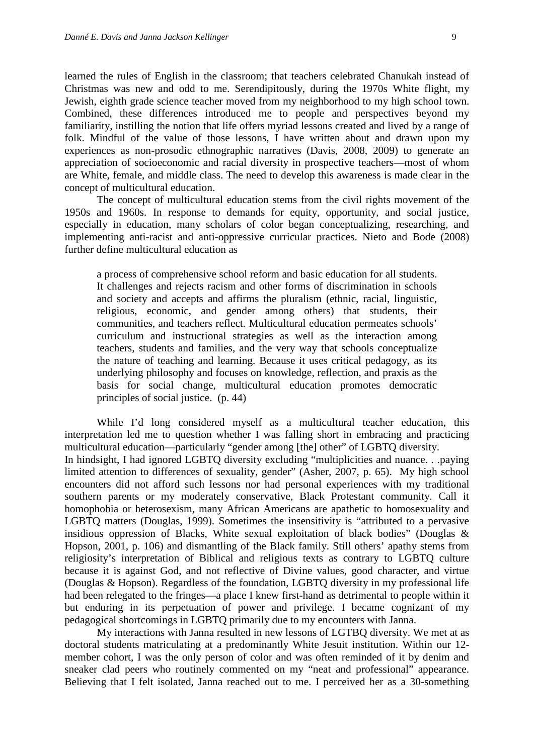learned the rules of English in the classroom; that teachers celebrated Chanukah instead of Christmas was new and odd to me. Serendipitously, during the 1970s White flight, my Jewish, eighth grade science teacher moved from my neighborhood to my high school town. Combined, these differences introduced me to people and perspectives beyond my familiarity, instilling the notion that life offers myriad lessons created and lived by a range of folk. Mindful of the value of those lessons, I have written about and drawn upon my experiences as non-prosodic ethnographic narratives (Davis, 2008, 2009) to generate an appreciation of socioeconomic and racial diversity in prospective teachers—most of whom are White, female, and middle class. The need to develop this awareness is made clear in the concept of multicultural education.

The concept of multicultural education stems from the civil rights movement of the 1950s and 1960s. In response to demands for equity, opportunity, and social justice, especially in education, many scholars of color began conceptualizing, researching, and implementing anti-racist and anti-oppressive curricular practices. Nieto and Bode (2008) further define multicultural education as

a process of comprehensive school reform and basic education for all students. It challenges and rejects racism and other forms of discrimination in schools and society and accepts and affirms the pluralism (ethnic, racial, linguistic, religious, economic, and gender among others) that students, their communities, and teachers reflect. Multicultural education permeates schools' curriculum and instructional strategies as well as the interaction among teachers, students and families, and the very way that schools conceptualize the nature of teaching and learning. Because it uses critical pedagogy, as its underlying philosophy and focuses on knowledge, reflection, and praxis as the basis for social change, multicultural education promotes democratic principles of social justice. (p. 44)

While I'd long considered myself as a multicultural teacher education, this interpretation led me to question whether I was falling short in embracing and practicing multicultural education—particularly "gender among [the] other" of LGBTQ diversity. In hindsight, I had ignored LGBTQ diversity excluding "multiplicities and nuance. . .paying limited attention to differences of sexuality, gender" (Asher, 2007, p. 65). My high school encounters did not afford such lessons nor had personal experiences with my traditional southern parents or my moderately conservative, Black Protestant community. Call it homophobia or heterosexism, many African Americans are apathetic to homosexuality and LGBTQ matters (Douglas, 1999). Sometimes the insensitivity is "attributed to a pervasive insidious oppression of Blacks, White sexual exploitation of black bodies" (Douglas & Hopson, 2001, p. 106) and dismantling of the Black family. Still others' apathy stems from religiosity's interpretation of Biblical and religious texts as contrary to LGBTQ culture because it is against God, and not reflective of Divine values, good character, and virtue (Douglas & Hopson). Regardless of the foundation, LGBTQ diversity in my professional life had been relegated to the fringes—a place I knew first-hand as detrimental to people within it but enduring in its perpetuation of power and privilege. I became cognizant of my pedagogical shortcomings in LGBTQ primarily due to my encounters with Janna.

My interactions with Janna resulted in new lessons of LGTBQ diversity. We met at as doctoral students matriculating at a predominantly White Jesuit institution. Within our 12 member cohort, I was the only person of color and was often reminded of it by denim and sneaker clad peers who routinely commented on my "neat and professional" appearance. Believing that I felt isolated, Janna reached out to me. I perceived her as a 30-something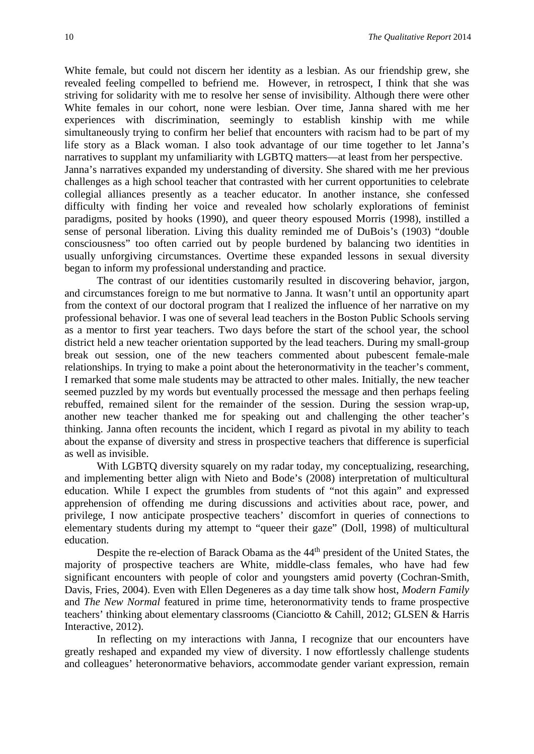White female, but could not discern her identity as a lesbian. As our friendship grew, she revealed feeling compelled to befriend me. However, in retrospect, I think that she was striving for solidarity with me to resolve her sense of invisibility. Although there were other White females in our cohort, none were lesbian. Over time, Janna shared with me her experiences with discrimination, seemingly to establish kinship with me while simultaneously trying to confirm her belief that encounters with racism had to be part of my life story as a Black woman. I also took advantage of our time together to let Janna's narratives to supplant my unfamiliarity with LGBTQ matters—at least from her perspective. Janna's narratives expanded my understanding of diversity. She shared with me her previous challenges as a high school teacher that contrasted with her current opportunities to celebrate collegial alliances presently as a teacher educator. In another instance, she confessed difficulty with finding her voice and revealed how scholarly explorations of feminist paradigms, posited by hooks (1990), and queer theory espoused Morris (1998), instilled a sense of personal liberation. Living this duality reminded me of DuBois's (1903) "double

consciousness" too often carried out by people burdened by balancing two identities in usually unforgiving circumstances. Overtime these expanded lessons in sexual diversity began to inform my professional understanding and practice.

The contrast of our identities customarily resulted in discovering behavior, jargon, and circumstances foreign to me but normative to Janna. It wasn't until an opportunity apart from the context of our doctoral program that I realized the influence of her narrative on my professional behavior. I was one of several lead teachers in the Boston Public Schools serving as a mentor to first year teachers. Two days before the start of the school year, the school district held a new teacher orientation supported by the lead teachers. During my small-group break out session, one of the new teachers commented about pubescent female-male relationships. In trying to make a point about the heteronormativity in the teacher's comment, I remarked that some male students may be attracted to other males. Initially, the new teacher seemed puzzled by my words but eventually processed the message and then perhaps feeling rebuffed, remained silent for the remainder of the session. During the session wrap-up, another new teacher thanked me for speaking out and challenging the other teacher's thinking. Janna often recounts the incident, which I regard as pivotal in my ability to teach about the expanse of diversity and stress in prospective teachers that difference is superficial as well as invisible.

With LGBTO diversity squarely on my radar today, my conceptualizing, researching, and implementing better align with Nieto and Bode's (2008) interpretation of multicultural education. While I expect the grumbles from students of "not this again" and expressed apprehension of offending me during discussions and activities about race, power, and privilege, I now anticipate prospective teachers' discomfort in queries of connections to elementary students during my attempt to "queer their gaze" (Doll, 1998) of multicultural education.

Despite the re-election of Barack Obama as the 44<sup>th</sup> president of the United States, the majority of prospective teachers are White, middle-class females, who have had few significant encounters with people of color and youngsters amid poverty (Cochran-Smith, Davis, Fries, 2004). Even with Ellen Degeneres as a day time talk show host, *Modern Family* and *The New Normal* featured in prime time, heteronormativity tends to frame prospective teachers' thinking about elementary classrooms (Cianciotto & Cahill, 2012; GLSEN & Harris Interactive, 2012).

In reflecting on my interactions with Janna, I recognize that our encounters have greatly reshaped and expanded my view of diversity. I now effortlessly challenge students and colleagues' heteronormative behaviors, accommodate gender variant expression, remain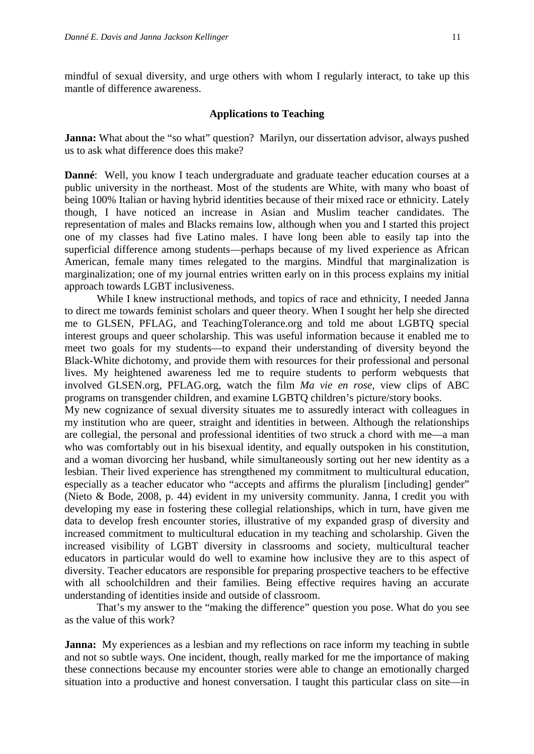mindful of sexual diversity, and urge others with whom I regularly interact, to take up this mantle of difference awareness.

#### **Applications to Teaching**

**Janna:** What about the "so what" question? Marilyn, our dissertation advisor, always pushed us to ask what difference does this make?

**Danné**: Well, you know I teach undergraduate and graduate teacher education courses at a public university in the northeast. Most of the students are White, with many who boast of being 100% Italian or having hybrid identities because of their mixed race or ethnicity. Lately though, I have noticed an increase in Asian and Muslim teacher candidates. The representation of males and Blacks remains low, although when you and I started this project one of my classes had five Latino males. I have long been able to easily tap into the superficial difference among students—perhaps because of my lived experience as African American, female many times relegated to the margins. Mindful that marginalization is marginalization; one of my journal entries written early on in this process explains my initial approach towards LGBT inclusiveness.

While I knew instructional methods, and topics of race and ethnicity, I needed Janna to direct me towards feminist scholars and queer theory. When I sought her help she directed me to GLSEN, PFLAG, and TeachingTolerance.org and told me about LGBTQ special interest groups and queer scholarship. This was useful information because it enabled me to meet two goals for my students—to expand their understanding of diversity beyond the Black-White dichotomy, and provide them with resources for their professional and personal lives. My heightened awareness led me to require students to perform webquests that involved GLSEN.org, PFLAG.org, watch the film *Ma vie en rose*, view clips of ABC programs on transgender children, and examine LGBTQ children's picture/story books.

My new cognizance of sexual diversity situates me to assuredly interact with colleagues in my institution who are queer, straight and identities in between. Although the relationships are collegial, the personal and professional identities of two struck a chord with me—a man who was comfortably out in his bisexual identity, and equally outspoken in his constitution, and a woman divorcing her husband, while simultaneously sorting out her new identity as a lesbian. Their lived experience has strengthened my commitment to multicultural education, especially as a teacher educator who "accepts and affirms the pluralism [including] gender" (Nieto & Bode, 2008, p. 44) evident in my university community. Janna, I credit you with developing my ease in fostering these collegial relationships, which in turn, have given me data to develop fresh encounter stories, illustrative of my expanded grasp of diversity and increased commitment to multicultural education in my teaching and scholarship. Given the increased visibility of LGBT diversity in classrooms and society, multicultural teacher educators in particular would do well to examine how inclusive they are to this aspect of diversity. Teacher educators are responsible for preparing prospective teachers to be effective with all schoolchildren and their families. Being effective requires having an accurate understanding of identities inside and outside of classroom.

That's my answer to the "making the difference" question you pose. What do you see as the value of this work?

**Janna:** My experiences as a lesbian and my reflections on race inform my teaching in subtle and not so subtle ways. One incident, though, really marked for me the importance of making these connections because my encounter stories were able to change an emotionally charged situation into a productive and honest conversation. I taught this particular class on site—in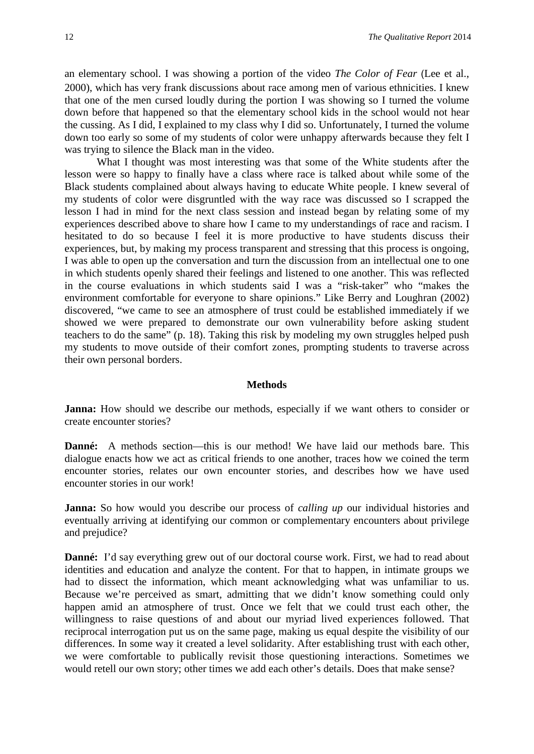an elementary school. I was showing a portion of the video *The Color of Fear* (Lee et al., 2000), which has very frank discussions about race among men of various ethnicities. I knew that one of the men cursed loudly during the portion I was showing so I turned the volume down before that happened so that the elementary school kids in the school would not hear the cussing. As I did, I explained to my class why I did so. Unfortunately, I turned the volume down too early so some of my students of color were unhappy afterwards because they felt I was trying to silence the Black man in the video.

What I thought was most interesting was that some of the White students after the lesson were so happy to finally have a class where race is talked about while some of the Black students complained about always having to educate White people. I knew several of my students of color were disgruntled with the way race was discussed so I scrapped the lesson I had in mind for the next class session and instead began by relating some of my experiences described above to share how I came to my understandings of race and racism. I hesitated to do so because I feel it is more productive to have students discuss their experiences, but, by making my process transparent and stressing that this process is ongoing, I was able to open up the conversation and turn the discussion from an intellectual one to one in which students openly shared their feelings and listened to one another. This was reflected in the course evaluations in which students said I was a "risk-taker" who "makes the environment comfortable for everyone to share opinions." Like Berry and Loughran (2002) discovered, "we came to see an atmosphere of trust could be established immediately if we showed we were prepared to demonstrate our own vulnerability before asking student teachers to do the same" (p. 18). Taking this risk by modeling my own struggles helped push my students to move outside of their comfort zones, prompting students to traverse across their own personal borders.

#### **Methods**

**Janna:** How should we describe our methods, especially if we want others to consider or create encounter stories?

**Danné:** A methods section—this is our method! We have laid our methods bare. This dialogue enacts how we act as critical friends to one another, traces how we coined the term encounter stories, relates our own encounter stories, and describes how we have used encounter stories in our work!

**Janna:** So how would you describe our process of *calling up* our individual histories and eventually arriving at identifying our common or complementary encounters about privilege and prejudice?

**Danné:** I'd say everything grew out of our doctoral course work. First, we had to read about identities and education and analyze the content. For that to happen, in intimate groups we had to dissect the information, which meant acknowledging what was unfamiliar to us. Because we're perceived as smart*,* admitting that we didn't know something could only happen amid an atmosphere of trust. Once we felt that we could trust each other, the willingness to raise questions of and about our myriad lived experiences followed. That reciprocal interrogation put us on the same page, making us equal despite the visibility of our differences. In some way it created a level solidarity. After establishing trust with each other, we were comfortable to publically revisit those questioning interactions. Sometimes we would retell our own story; other times we add each other's details. Does that make sense?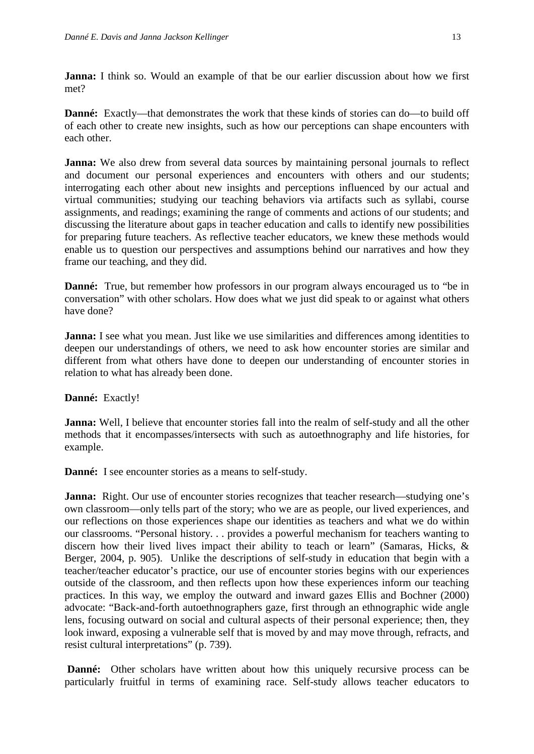**Janna:** I think so. Would an example of that be our earlier discussion about how we first met?

**Danné:** Exactly—that demonstrates the work that these kinds of stories can do—to build off of each other to create new insights, such as how our perceptions can shape encounters with each other.

**Janna:** We also drew from several data sources by maintaining personal journals to reflect and document our personal experiences and encounters with others and our students; interrogating each other about new insights and perceptions influenced by our actual and virtual communities; studying our teaching behaviors via artifacts such as syllabi, course assignments, and readings; examining the range of comments and actions of our students; and discussing the literature about gaps in teacher education and calls to identify new possibilities for preparing future teachers. As reflective teacher educators, we knew these methods would enable us to question our perspectives and assumptions behind our narratives and how they frame our teaching, and they did.

**Danné:** True, but remember how professors in our program always encouraged us to "be in conversation" with other scholars. How does what we just did speak to or against what others have done?

**Janna:** I see what you mean. Just like we use similarities and differences among identities to deepen our understandings of others, we need to ask how encounter stories are similar and different from what others have done to deepen our understanding of encounter stories in relation to what has already been done.

## **Danné:** Exactly!

**Janna:** Well, I believe that encounter stories fall into the realm of self-study and all the other methods that it encompasses/intersects with such as autoethnography and life histories, for example.

**Danné:** I see encounter stories as a means to self-study.

**Janna:** Right. Our use of encounter stories recognizes that teacher research—studying one's own classroom—only tells part of the story; who we are as people, our lived experiences, and our reflections on those experiences shape our identities as teachers and what we do within our classrooms. "Personal history. . . provides a powerful mechanism for teachers wanting to discern how their lived lives impact their ability to teach or learn" (Samaras, Hicks, & Berger, 2004, p. 905). Unlike the descriptions of self-study in education that begin with a teacher/teacher educator's practice, our use of encounter stories begins with our experiences outside of the classroom, and then reflects upon how these experiences inform our teaching practices. In this way, we employ the outward and inward gazes Ellis and Bochner (2000) advocate: "Back-and-forth autoethnographers gaze, first through an ethnographic wide angle lens, focusing outward on social and cultural aspects of their personal experience; then, they look inward, exposing a vulnerable self that is moved by and may move through, refracts, and resist cultural interpretations" (p. 739).

**Danné:** Other scholars have written about how this uniquely recursive process can be particularly fruitful in terms of examining race. Self-study allows teacher educators to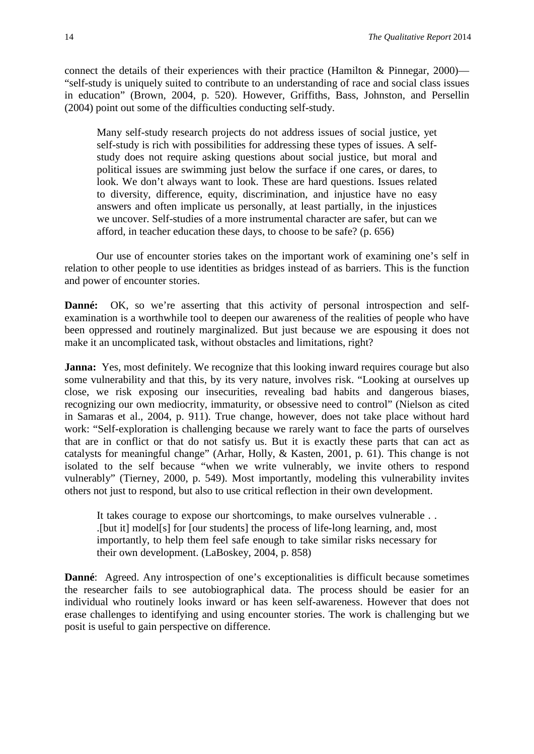connect the details of their experiences with their practice (Hamilton & Pinnegar, 2000)— "self-study is uniquely suited to contribute to an understanding of race and social class issues in education" (Brown, 2004, p. 520). However, Griffiths, Bass, Johnston, and Persellin (2004) point out some of the difficulties conducting self-study.

Many self-study research projects do not address issues of social justice, yet self-study is rich with possibilities for addressing these types of issues. A selfstudy does not require asking questions about social justice, but moral and political issues are swimming just below the surface if one cares, or dares, to look. We don't always want to look. These are hard questions. Issues related to diversity, difference, equity, discrimination, and injustice have no easy answers and often implicate us personally, at least partially, in the injustices we uncover. Self-studies of a more instrumental character are safer, but can we afford, in teacher education these days, to choose to be safe? (p. 656)

Our use of encounter stories takes on the important work of examining one's self in relation to other people to use identities as bridges instead of as barriers. This is the function and power of encounter stories.

**Danné:** OK, so we're asserting that this activity of personal introspection and selfexamination is a worthwhile tool to deepen our awareness of the realities of people who have been oppressed and routinely marginalized. But just because we are espousing it does not make it an uncomplicated task, without obstacles and limitations, right?

**Janna:** Yes, most definitely. We recognize that this looking inward requires courage but also some vulnerability and that this, by its very nature, involves risk. "Looking at ourselves up close, we risk exposing our insecurities, revealing bad habits and dangerous biases, recognizing our own mediocrity, immaturity, or obsessive need to control" (Nielson as cited in Samaras et al., 2004, p. 911). True change, however, does not take place without hard work: "Self-exploration is challenging because we rarely want to face the parts of ourselves that are in conflict or that do not satisfy us. But it is exactly these parts that can act as catalysts for meaningful change" (Arhar, Holly, & Kasten, 2001, p. 61). This change is not isolated to the self because "when we write vulnerably, we invite others to respond vulnerably" (Tierney, 2000, p. 549). Most importantly, modeling this vulnerability invites others not just to respond, but also to use critical reflection in their own development.

It takes courage to expose our shortcomings, to make ourselves vulnerable . . .[but it] model[s] for [our students] the process of life-long learning, and, most importantly, to help them feel safe enough to take similar risks necessary for their own development. (LaBoskey, 2004, p. 858)

**Danné**: Agreed. Any introspection of one's exceptionalities is difficult because sometimes the researcher fails to see autobiographical data. The process should be easier for an individual who routinely looks inward or has keen self-awareness. However that does not erase challenges to identifying and using encounter stories. The work is challenging but we posit is useful to gain perspective on difference.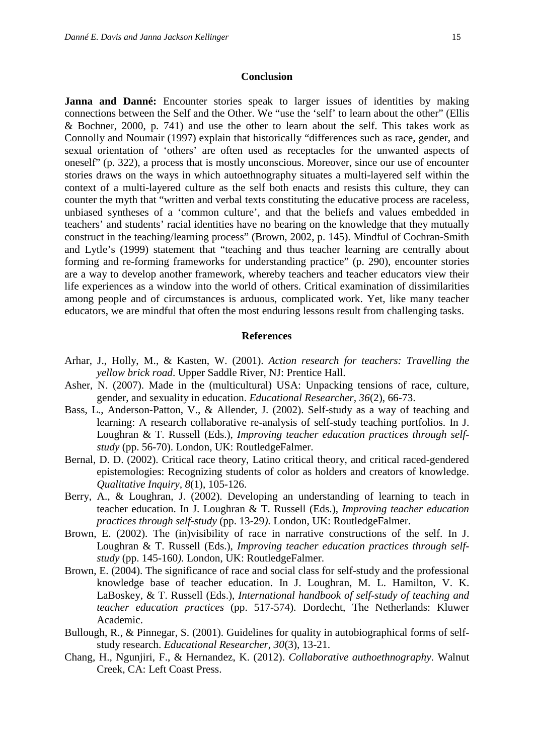#### **Conclusion**

**Janna and Danné:** Encounter stories speak to larger issues of identities by making connections between the Self and the Other. We "use the 'self' to learn about the other" (Ellis & Bochner, 2000, p. 741) and use the other to learn about the self. This takes work as Connolly and Noumair (1997) explain that historically "differences such as race, gender, and sexual orientation of 'others' are often used as receptacles for the unwanted aspects of oneself" (p. 322), a process that is mostly unconscious. Moreover, since our use of encounter stories draws on the ways in which autoethnography situates a multi-layered self within the context of a multi-layered culture as the self both enacts and resists this culture, they can counter the myth that "written and verbal texts constituting the educative process are raceless, unbiased syntheses of a 'common culture', and that the beliefs and values embedded in teachers' and students' racial identities have no bearing on the knowledge that they mutually construct in the teaching/learning process" (Brown, 2002, p. 145). Mindful of Cochran-Smith and Lytle's (1999) statement that "teaching and thus teacher learning are centrally about forming and re-forming frameworks for understanding practice" (p. 290), encounter stories are a way to develop another framework, whereby teachers and teacher educators view their life experiences as a window into the world of others. Critical examination of dissimilarities among people and of circumstances is arduous, complicated work. Yet, like many teacher educators, we are mindful that often the most enduring lessons result from challenging tasks.

#### **References**

- Arhar, J., Holly, M., & Kasten, W. (2001). *Action research for teachers: Travelling the yellow brick road*. Upper Saddle River, NJ: Prentice Hall.
- Asher, N. (2007). Made in the (multicultural) USA: Unpacking tensions of race, culture, gender, and sexuality in education. *Educational Researcher, 36*(2), 66-73.
- Bass, L., Anderson-Patton, V., & Allender, J. (2002). Self-study as a way of teaching and learning: A research collaborative re-analysis of self-study teaching portfolios. In J. Loughran & T. Russell (Eds.), *Improving teacher education practices through selfstudy* (pp. 56-70). London, UK: RoutledgeFalmer.
- Bernal, D. D. (2002). Critical race theory, Latino critical theory, and critical raced-gendered epistemologies: Recognizing students of color as holders and creators of knowledge. *Qualitative Inquiry, 8*(1), 105-126.
- Berry, A., & Loughran, J. (2002). Developing an understanding of learning to teach in teacher education. In J. Loughran & T. Russell (Eds.), *Improving teacher education practices through self-study* (pp. 13-29*)*. London, UK: RoutledgeFalmer.
- Brown, E. (2002). The (in)visibility of race in narrative constructions of the self. In J. Loughran & T. Russell (Eds.), *Improving teacher education practices through selfstudy* (pp. 145-160*)*. London, UK: RoutledgeFalmer.
- Brown, E. (2004). The significance of race and social class for self-study and the professional knowledge base of teacher education. In J. Loughran, M. L. Hamilton, V. K. LaBoskey, & T. Russell (Eds.), *International handbook of self-study of teaching and teacher education practices* (pp. 517-574). Dordecht, The Netherlands: Kluwer Academic.
- Bullough, R., & Pinnegar, S. (2001). Guidelines for quality in autobiographical forms of selfstudy research. *Educational Researcher, 30*(3), 13-21.
- Chang, H., Ngunjiri, F., & Hernandez, K. (2012). *Collaborative authoethnography*. Walnut Creek, CA: Left Coast Press.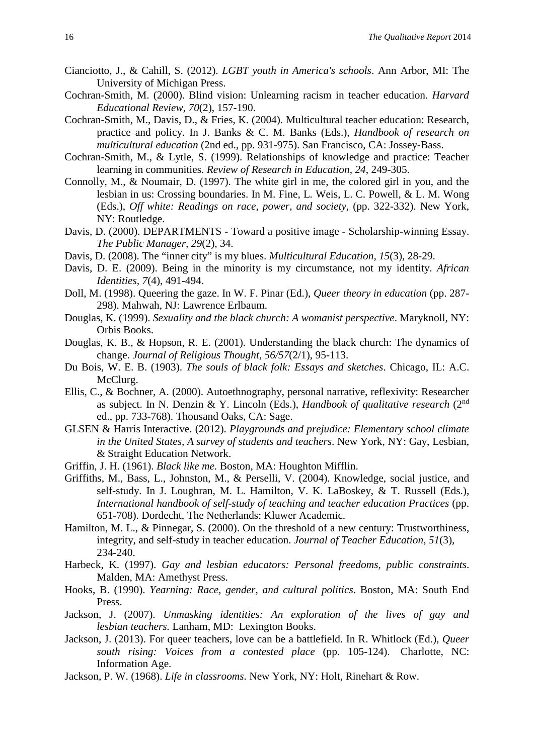- Cianciotto, J., & Cahill, S. (2012). *LGBT youth in America's schools*. Ann Arbor, MI: The University of Michigan Press.
- Cochran-Smith, M. (2000). Blind vision: Unlearning racism in teacher education. *Harvard Educational Review, 70*(2), 157-190.
- Cochran-Smith, M., Davis, D., & Fries, K. (2004). Multicultural teacher education: Research, practice and policy. In J. Banks & C. M. Banks (Eds.), *Handbook of research on multicultural education* (2nd ed., pp. 931-975). San Francisco, CA: Jossey-Bass.
- Cochran-Smith, M., & Lytle, S. (1999). Relationships of knowledge and practice: Teacher learning in communities. *Review of Research in Education, 24*, 249-305.
- Connolly, M., & Noumair, D. (1997). The white girl in me, the colored girl in you, and the lesbian in us: Crossing boundaries. In M. Fine, L. Weis, L. C. Powell, & L. M. Wong (Eds.), *Off white: Readings on race, power, and society*, (pp. 322-332). New York, NY: Routledge.
- Davis, D. (2000). DEPARTMENTS Toward a positive image Scholarship-winning Essay. *The Public Manager, 29*(2), 34.
- Davis, D. (2008). The "inner city" is my blues. *Multicultural Education, 15*(3), 28-29.
- Davis, D. E. (2009). Being in the minority is my circumstance, not my identity. *African Identities, 7*(4), 491-494.
- Doll, M. (1998). Queering the gaze. In W. F. Pinar (Ed.), *Queer theory in education* (pp. 287- 298). Mahwah, NJ: Lawrence Erlbaum.
- Douglas, K. (1999). *Sexuality and the black church: A womanist perspective*. Maryknoll, NY: Orbis Books.
- Douglas, K. B., & Hopson, R. E. (2001). Understanding the black church: The dynamics of change. *Journal of Religious Thought*, *56/57*(2/1), 95-113.
- Du Bois, W. E. B. (1903). *The souls of black folk: Essays and sketches*. Chicago, IL: A.C. McClurg.
- Ellis, C., & Bochner, A. (2000). Autoethnography, personal narrative, reflexivity: Researcher as subject. In N. Denzin & Y. Lincoln (Eds.), *Handbook of qualitative research* (2nd ed., pp. 733-768). Thousand Oaks, CA: Sage.
- GLSEN & Harris Interactive. (2012). *Playgrounds and prejudice: Elementary school climate in the United States, A survey of students and teachers*. New York, NY: Gay, Lesbian, & Straight Education Network.
- Griffin, J. H. (1961). *Black like me.* Boston, MA: Houghton Mifflin.
- Griffiths, M., Bass, L., Johnston, M., & Perselli, V. (2004). Knowledge, social justice, and self-study. In J. Loughran, M. L. Hamilton, V. K. LaBoskey, & T. Russell (Eds.), *International handbook of self-study of teaching and teacher education Practices* (pp. 651-708). Dordecht, The Netherlands: Kluwer Academic.
- Hamilton, M. L., & Pinnegar, S. (2000). On the threshold of a new century: Trustworthiness, integrity, and self-study in teacher education. *Journal of Teacher Education, 51*(3), 234-240.
- Harbeck, K. (1997). *Gay and lesbian educators: Personal freedoms, public constraints*. Malden, MA: Amethyst Press.
- Hooks, B. (1990). *Yearning: Race, gender, and cultural politics*. Boston, MA: South End Press.
- Jackson, J. (2007). *Unmasking identities: An exploration of the lives of gay and lesbian teachers.* Lanham, MD: Lexington Books.
- Jackson, J. (2013). For queer teachers, love can be a battlefield. In R. Whitlock (Ed.), *Queer south rising: Voices from a contested place* (pp. 105-124). Charlotte, NC: Information Age.
- Jackson, P. W. (1968). *Life in classrooms*. New York, NY: Holt, Rinehart & Row.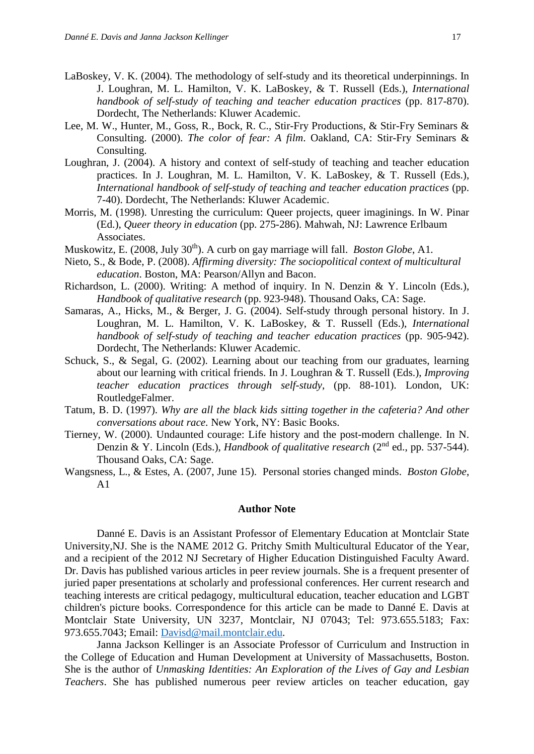- LaBoskey, V. K. (2004). The methodology of self-study and its theoretical underpinnings. In J. Loughran, M. L. Hamilton, V. K. LaBoskey, & T. Russell (Eds.), *International handbook of self-study of teaching and teacher education practices* (pp. 817-870). Dordecht, The Netherlands: Kluwer Academic.
- Lee, M. W., Hunter, M., Goss, R., Bock, R. C., Stir-Fry Productions, & Stir-Fry Seminars & Consulting. (2000). *The color of fear: A film*. Oakland, CA: Stir-Fry Seminars & Consulting.
- Loughran, J. (2004). A history and context of self-study of teaching and teacher education practices. In J. Loughran, M. L. Hamilton, V. K. LaBoskey, & T. Russell (Eds.), *International handbook of self-study of teaching and teacher education practices* (pp. 7-40). Dordecht, The Netherlands: Kluwer Academic.
- Morris, M. (1998). Unresting the curriculum: Queer projects, queer imaginings. In W. Pinar (Ed.), *Queer theory in education* (pp. 275-286). Mahwah, NJ: Lawrence Erlbaum Associates.
- Muskowitz, E. (2008, July 30<sup>th</sup>). A curb on gay marriage will fall. *Boston Globe*, A1.
- Nieto, S., & Bode, P. (2008). *Affirming diversity: The sociopolitical context of multicultural education*. Boston, MA: Pearson/Allyn and Bacon.
- Richardson, L. (2000). Writing: A method of inquiry. In N. Denzin & Y. Lincoln (Eds.), *Handbook of qualitative research* (pp. 923-948). Thousand Oaks, CA: Sage.
- Samaras, A., Hicks, M., & Berger, J. G. (2004). Self-study through personal history. In J. Loughran, M. L. Hamilton, V. K. LaBoskey, & T. Russell (Eds.), *International handbook of self-study of teaching and teacher education practices* (pp. 905-942). Dordecht, The Netherlands: Kluwer Academic.
- Schuck, S., & Segal, G. (2002). Learning about our teaching from our graduates, learning about our learning with critical friends. In J. Loughran & T. Russell (Eds.), *Improving teacher education practices through self-study*, (pp. 88-101). London, UK: RoutledgeFalmer.
- Tatum, B. D. (1997). *Why are all the black kids sitting together in the cafeteria? And other conversations about race.* New York, NY: Basic Books.
- Tierney, W. (2000). Undaunted courage: Life history and the post-modern challenge. In N. Denzin & Y. Lincoln (Eds.), *Handbook of qualitative research* (2nd ed., pp. 537-544). Thousand Oaks, CA: Sage.
- Wangsness, L., & Estes, A. (2007, June 15). Personal stories changed minds. *Boston Globe*, A1

#### **Author Note**

Danné E. Davis is an Assistant Professor of Elementary Education at Montclair State University,NJ. She is the NAME 2012 G. Pritchy Smith Multicultural Educator of the Year, and a recipient of the 2012 NJ Secretary of Higher Education Distinguished Faculty Award. Dr. Davis has published various articles in peer review journals. She is a frequent presenter of juried paper presentations at scholarly and professional conferences. Her current research and teaching interests are critical pedagogy, multicultural education, teacher education and LGBT children's picture books. Correspondence for this article can be made to Danné E. Davis at Montclair State University, UN 3237, Montclair, NJ 07043; Tel: 973.655.5183; Fax: 973.655.7043; Email: [Davisd@mail.montclair.edu.](mailto:Davisd@mail.montclair.edu)

Janna Jackson Kellinger is an Associate Professor of Curriculum and Instruction in the College of Education and Human Development at University of Massachusetts, Boston. She is the author of *Unmasking Identities: An Exploration of the Lives of Gay and Lesbian Teachers*. She has published numerous peer review articles on teacher education, gay